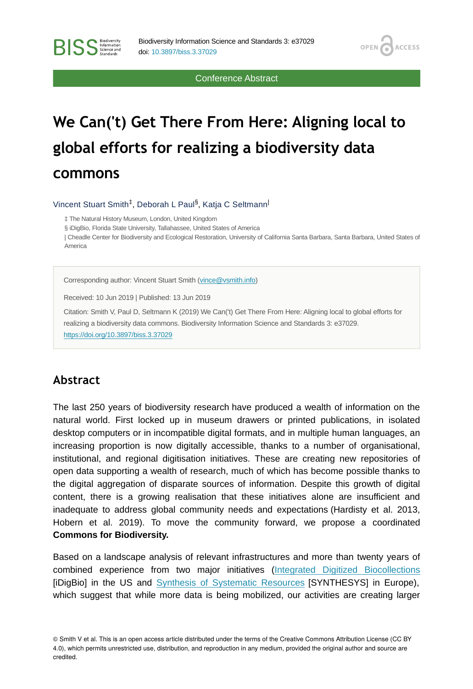Conference Abstract

**OPEN** 

**ACCESS** 

# **We Can('t) Get There From Here: Aligning local to global efforts for realizing a biodiversity data commons**

Vincent Stuart Smith<sup>‡</sup>, Deborah L Paul<sup>§</sup>, Katja C Seltmann<sup>|</sup>

‡ The Natural History Museum, London, United Kingdom

§ iDigBio, Florida State University, Tallahassee, United States of America

| Cheadle Center for Biodiversity and Ecological Restoration, University of California Santa Barbara, Santa Barbara, United States of America

Corresponding author: Vincent Stuart Smith ([vince@vsmith.info](mailto:vince@vsmith.info))

Received: 10 Jun 2019 | Published: 13 Jun 2019

Citation: Smith V, Paul D, Seltmann K (2019) We Can('t) Get There From Here: Aligning local to global efforts for realizing a biodiversity data commons. Biodiversity Information Science and Standards 3: e37029. <https://doi.org/10.3897/biss.3.37029>

### **Abstract**

**BISS** Steince and

The last 250 years of biodiversity research have produced a wealth of information on the natural world. First locked up in museum drawers or printed publications, in isolated desktop computers or in incompatible digital formats, and in multiple human languages, an increasing proportion is now digitally accessible, thanks to a number of organisational, institutional, and regional digitisation initiatives. These are creating new repositories of open data supporting a wealth of research, much of which has become possible thanks to the digital aggregation of disparate sources of information. Despite this growth of digital content, there is a growing realisation that these initiatives alone are insufficient and inadequate to address global community needs and expectations (Hardisty et al. 2013, Hobern et al. 2019). To move the community forward, we propose a coordinated **Commons for Biodiversity.**

Based on a landscape analysis of relevant infrastructures and more than twenty years of combined experience from two major initiatives [\(Integrated Digitized Biocollections](https://www.idigbio.org/) [iDigBio] in the US and [Synthesis of Systematic Resources](http://www.synthesys.info/) [SYNTHESYS] in Europe), which suggest that while more data is being mobilized, our activities are creating larger

© Smith V et al. This is an open access article distributed under the terms of the Creative Commons Attribution License (CC BY 4.0), which permits unrestricted use, distribution, and reproduction in any medium, provided the original author and source are credited.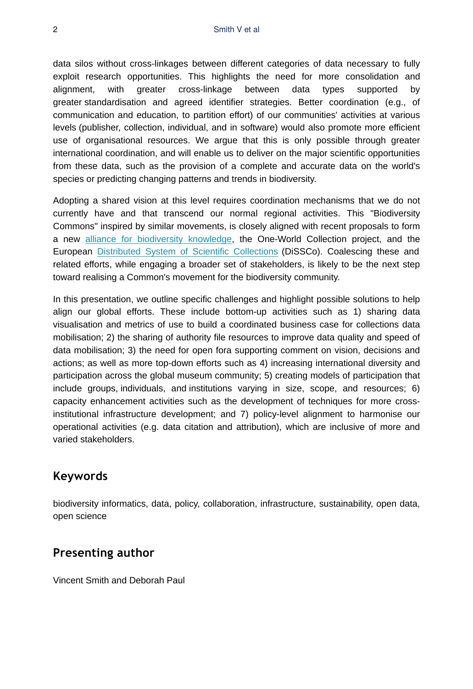data silos without cross-linkages between different categories of data necessary to fully exploit research opportunities. This highlights the need for more consolidation and alignment, with greater cross-linkage between data types supported by greater standardisation and agreed identifier strategies. Better coordination (e.g., of communication and education, to partition effort) of our communities' activities at various levels (publisher, collection, individual, and in software) would also promote more efficient use of organisational resources. We argue that this is only possible through greater international coordination, and will enable us to deliver on the major scientific opportunities from these data, such as the provision of a complete and accurate data on the world's species or predicting changing patterns and trends in biodiversity.

Adopting a shared vision at this level requires coordination mechanisms that we do not currently have and that transcend our normal regional activities. This "Biodiversity Commons" inspired by similar movements, is closely aligned with recent proposals to form a new [alliance for biodiversity knowledge](http://www.biodiversityinformatics.org/), the One-World Collection project, and the European [Distributed System of Scientific Collections](https://dissco.eu/) (DiSSCo). Coalescing these and related efforts, while engaging a broader set of stakeholders, is likely to be the next step toward realising a Common's movement for the biodiversity community.

In this presentation, we outline specific challenges and highlight possible solutions to help align our global efforts. These include bottom-up activities such as 1) sharing data visualisation and metrics of use to build a coordinated business case for collections data mobilisation; 2) the sharing of authority file resources to improve data quality and speed of data mobilisation; 3) the need for open fora supporting comment on vision, decisions and actions; as well as more top-down efforts such as 4) increasing international diversity and participation across the global museum community; 5) creating models of participation that include groups, individuals, and institutions varying in size, scope, and resources; 6) capacity enhancement activities such as the development of techniques for more crossinstitutional infrastructure development; and 7) policy-level alignment to harmonise our operational activities (e.g. data citation and attribution), which are inclusive of more and varied stakeholders.

# **Keywords**

biodiversity informatics, data, policy, collaboration, infrastructure, sustainability, open data, open science

## **Presenting author**

Vincent Smith and Deborah Paul